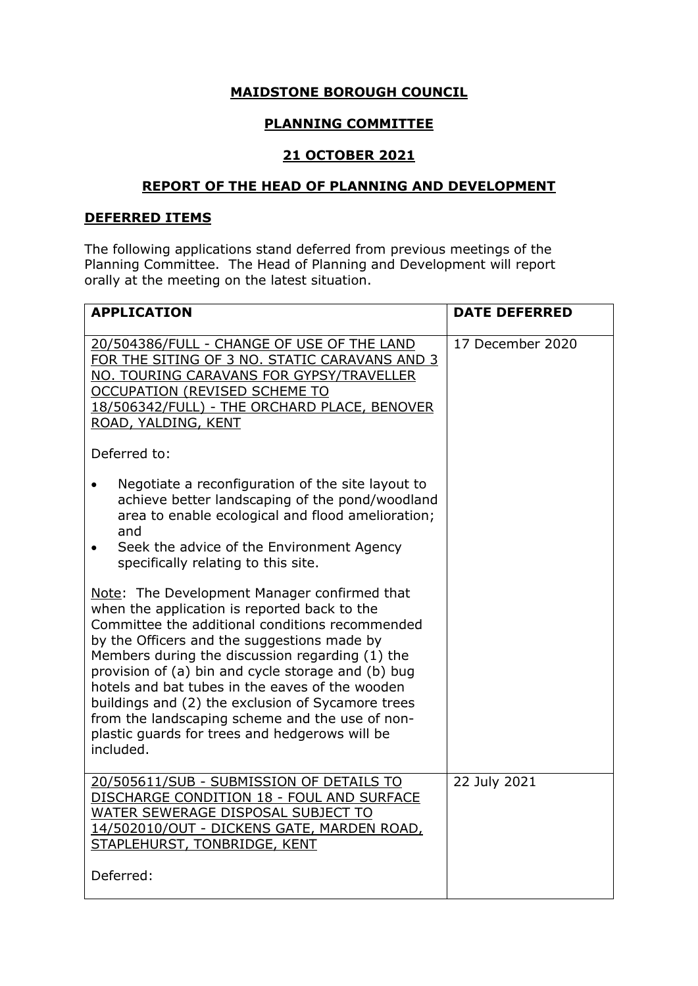### **MAIDSTONE BOROUGH COUNCIL**

# **PLANNING COMMITTEE**

# **21 OCTOBER 2021**

#### **REPORT OF THE HEAD OF PLANNING AND DEVELOPMENT**

#### **DEFERRED ITEMS**

The following applications stand deferred from previous meetings of the Planning Committee. The Head of Planning and Development will report orally at the meeting on the latest situation.

| <b>APPLICATION</b>                                                                                                                                                                                                                                                                                                                                                                                                                                                                                                                | <b>DATE DEFERRED</b> |
|-----------------------------------------------------------------------------------------------------------------------------------------------------------------------------------------------------------------------------------------------------------------------------------------------------------------------------------------------------------------------------------------------------------------------------------------------------------------------------------------------------------------------------------|----------------------|
| 20/504386/FULL - CHANGE OF USE OF THE LAND<br>FOR THE SITING OF 3 NO. STATIC CARAVANS AND 3<br>NO. TOURING CARAVANS FOR GYPSY/TRAVELLER<br><b>OCCUPATION (REVISED SCHEME TO</b><br>18/506342/FULL) - THE ORCHARD PLACE, BENOVER<br>ROAD, YALDING, KENT                                                                                                                                                                                                                                                                            | 17 December 2020     |
| Deferred to:                                                                                                                                                                                                                                                                                                                                                                                                                                                                                                                      |                      |
| Negotiate a reconfiguration of the site layout to<br>$\bullet$<br>achieve better landscaping of the pond/woodland<br>area to enable ecological and flood amelioration;<br>and                                                                                                                                                                                                                                                                                                                                                     |                      |
| Seek the advice of the Environment Agency<br>specifically relating to this site.                                                                                                                                                                                                                                                                                                                                                                                                                                                  |                      |
| Note: The Development Manager confirmed that<br>when the application is reported back to the<br>Committee the additional conditions recommended<br>by the Officers and the suggestions made by<br>Members during the discussion regarding (1) the<br>provision of (a) bin and cycle storage and (b) bug<br>hotels and bat tubes in the eaves of the wooden<br>buildings and (2) the exclusion of Sycamore trees<br>from the landscaping scheme and the use of non-<br>plastic guards for trees and hedgerows will be<br>included. |                      |
| 20/505611/SUB - SUBMISSION OF DETAILS TO<br>DISCHARGE CONDITION 18 - FOUL AND SURFACE<br>WATER SEWERAGE DISPOSAL SUBJECT TO<br>14/502010/OUT - DICKENS GATE, MARDEN ROAD,<br>STAPLEHURST, TONBRIDGE, KENT                                                                                                                                                                                                                                                                                                                         | 22 July 2021         |
| Deferred:                                                                                                                                                                                                                                                                                                                                                                                                                                                                                                                         |                      |